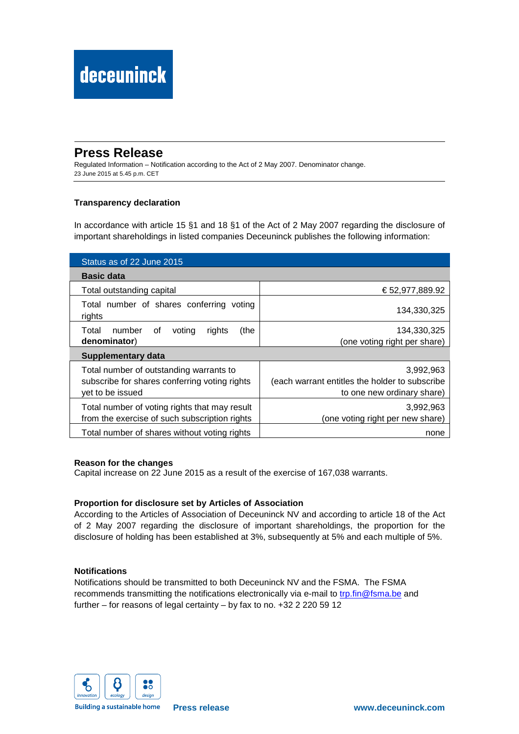# **Press Release**

Regulated Information – Notification according to the Act of 2 May 2007. Denominator change. 23 June 2015 at 5.45 p.m. CET

## **Transparency declaration**

In accordance with article 15 §1 and 18 §1 of the Act of 2 May 2007 regarding the disclosure of important shareholdings in listed companies Deceuninck publishes the following information:

| Status as of 22 June 2015                                                                                    |                                                                                           |  |
|--------------------------------------------------------------------------------------------------------------|-------------------------------------------------------------------------------------------|--|
| <b>Basic data</b>                                                                                            |                                                                                           |  |
| Total outstanding capital                                                                                    | € 52,977,889.92                                                                           |  |
| Total number of shares conferring voting<br>rights                                                           | 134,330,325                                                                               |  |
| number<br>(the<br>Total<br>0f<br>voting<br>rights<br>denominator)                                            | 134,330,325<br>(one voting right per share)                                               |  |
| <b>Supplementary data</b>                                                                                    |                                                                                           |  |
| Total number of outstanding warrants to<br>subscribe for shares conferring voting rights<br>yet to be issued | 3,992,963<br>(each warrant entitles the holder to subscribe<br>to one new ordinary share) |  |
| Total number of voting rights that may result<br>from the exercise of such subscription rights               | 3,992,963<br>(one voting right per new share)                                             |  |
| Total number of shares without voting rights                                                                 | none                                                                                      |  |

### **Reason for the changes**

Capital increase on 22 June 2015 as a result of the exercise of 167,038 warrants.

### **Proportion for disclosure set by Articles of Association**

According to the Articles of Association of Deceuninck NV and according to article 18 of the Act of 2 May 2007 regarding the disclosure of important shareholdings, the proportion for the disclosure of holding has been established at 3%, subsequently at 5% and each multiple of 5%.

### **Notifications**

Notifications should be transmitted to both Deceuninck NV and the FSMA. The FSMA recommends transmitting the notifications electronically via e-mail to trp.fin@fsma.be and further – for reasons of legal certainty – by fax to no. +32 2 220 59 12



**Building a sustainable home**